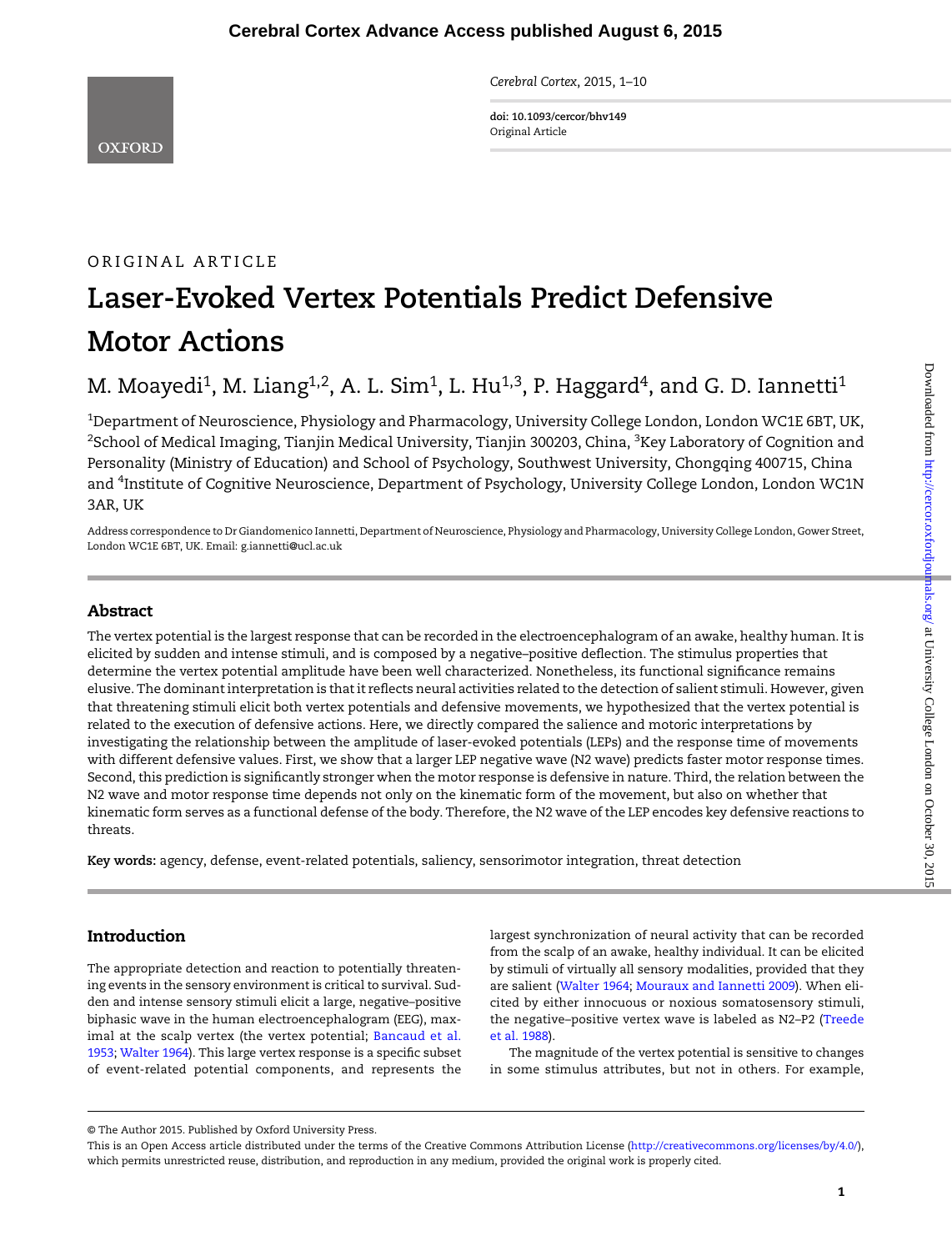Cerebral Cortex, 2015, 1–10

doi: 10.1093/cercor/bhv149 Original Article

# ORIGINAL ARTICLE Laser-Evoked Vertex Potentials Predict Defensive Motor Actions

# M. Moayedi<sup>1</sup>, M. Liang<sup>1,2</sup>, A. L. Sim<sup>1</sup>, L. Hu<sup>1,3</sup>, P. Haggard<sup>4</sup>, and G. D. Iannetti<sup>1</sup>

 $^{\rm 1}$ Department of Neuroscience, Physiology and Pharmacology, University College London, London WC1E 6BT, UK,  $^2$ School of Medical Imaging, Tianjin Medical University, Tianjin 300203, China,  $^3$ Key Laboratory of Cognition and Personality (Ministry of Education) and School of Psychology, Southwest University, Chongqing 400715, China and <sup>4</sup>Institute of Cognitive Neuroscience, Department of Psychology, University College London, London WC1N 3AR, UK

Address correspondence to Dr Giandomenico Iannetti, Department of Neuroscience, Physiology and Pharmacology, University College London, Gower Street, London WC1E 6BT, UK. Email: g.iannetti@ucl.ac.uk

# Abstract

The vertex potential is the largest response that can be recorded in the electroencephalogram of an awake, healthy human. It is elicited by sudden and intense stimuli, and is composed by a negative–positive deflection. The stimulus properties that determine the vertex potential amplitude have been well characterized. Nonetheless, its functional significance remains elusive. The dominant interpretation is that it reflects neural activities related to the detection of salient stimuli. However, given that threatening stimuli elicit both vertex potentials and defensive movements, we hypothesized that the vertex potential is related to the execution of defensive actions. Here, we directly compared the salience and motoric interpretations by investigating the relationship between the amplitude of laser-evoked potentials (LEPs) and the response time of movements with different defensive values. First, we show that a larger LEP negative wave (N2 wave) predicts faster motor response times. Second, this prediction is significantly stronger when the motor response is defensive in nature. Third, the relation between the N2 wave and motor response time depends not only on the kinematic form of the movement, but also on whether that kinematic form serves as a functional defense of the body. Therefore, the N2 wave of the LEP encodes key defensive reactions to threats.

Key words: agency, defense, event-related potentials, saliency, sensorimotor integration, threat detection

# Introduction

The appropriate detection and reaction to potentially threatening events in the sensory environment is critical to survival. Sudden and intense sensory stimuli elicit a large, negative–positive biphasic wave in the human electroencephalogram (EEG), maximal at the scalp vertex (the vertex potential; [Bancaud et al.](#page-8-0) [1953](#page-8-0); [Walter 1964](#page-9-0)). This large vertex response is a specific subset of event-related potential components, and represents the largest synchronization of neural activity that can be recorded from the scalp of an awake, healthy individual. It can be elicited by stimuli of virtually all sensory modalities, provided that they are salient [\(Walter 1964;](#page-9-0) [Mouraux and Iannetti 2009\)](#page-8-0). When elicited by either innocuous or noxious somatosensory stimuli, the negative–positive vertex wave is labeled as N2–P2 [\(Treede](#page-9-0) [et al. 1988](#page-9-0)).

The magnitude of the vertex potential is sensitive to changes in some stimulus attributes, but not in others. For example,

<sup>©</sup> The Author 2015. Published by Oxford University Press.

This is an Open Access article distributed under the terms of the Creative Commons Attribution License ([http://creativecommons.org/licenses/by/4.0/\)](http://creativecommons.org/licenses/by/4.0/), which permits unrestricted reuse, distribution, and reproduction in any medium, provided the original work is properly cited.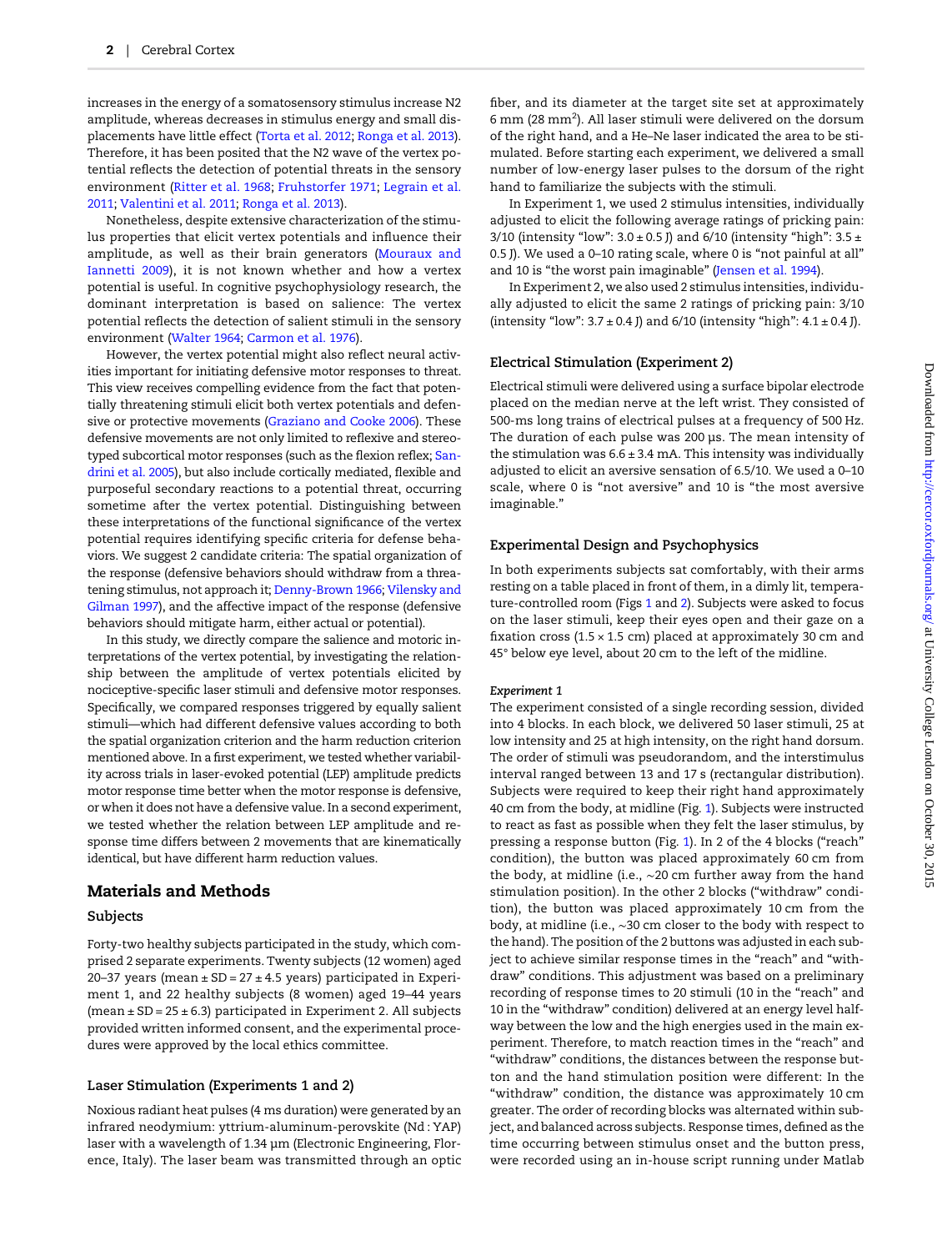increases in the energy of a somatosensory stimulus increase N2 amplitude, whereas decreases in stimulus energy and small displacements have little effect [\(Torta et al. 2012;](#page-9-0) [Ronga et al. 2013](#page-9-0)). Therefore, it has been posited that the N2 wave of the vertex potential reflects the detection of potential threats in the sensory environment ([Ritter et al. 1968;](#page-9-0) [Fruhstorfer 1971;](#page-8-0) [Legrain et al.](#page-8-0) [2011](#page-8-0); [Valentini et al. 2011;](#page-9-0) [Ronga et al. 2013\)](#page-9-0).

Nonetheless, despite extensive characterization of the stimulus properties that elicit vertex potentials and influence their amplitude, as well as their brain generators ([Mouraux and](#page-8-0) [Iannetti 2009\)](#page-8-0), it is not known whether and how a vertex potential is useful. In cognitive psychophysiology research, the dominant interpretation is based on salience: The vertex potential reflects the detection of salient stimuli in the sensory environment [\(Walter 1964](#page-9-0); [Carmon et al. 1976\)](#page-8-0).

However, the vertex potential might also reflect neural activities important for initiating defensive motor responses to threat. This view receives compelling evidence from the fact that potentially threatening stimuli elicit both vertex potentials and defensive or protective movements ([Graziano and Cooke 2006\)](#page-8-0). These defensive movements are not only limited to reflexive and stereotyped subcortical motor responses (such as the flexion reflex; [San](#page-9-0)[drini et al. 2005](#page-9-0)), but also include cortically mediated, flexible and purposeful secondary reactions to a potential threat, occurring sometime after the vertex potential. Distinguishing between these interpretations of the functional significance of the vertex potential requires identifying specific criteria for defense behaviors. We suggest 2 candidate criteria: The spatial organization of the response (defensive behaviors should withdraw from a threatening stimulus, not approach it; [Denny-Brown 1966;](#page-8-0) [Vilensky and](#page-9-0) [Gilman 1997](#page-9-0)), and the affective impact of the response (defensive behaviors should mitigate harm, either actual or potential).

In this study, we directly compare the salience and motoric interpretations of the vertex potential, by investigating the relationship between the amplitude of vertex potentials elicited by nociceptive-specific laser stimuli and defensive motor responses. Specifically, we compared responses triggered by equally salient stimuli—which had different defensive values according to both the spatial organization criterion and the harm reduction criterion mentioned above. In a first experiment, we tested whether variability across trials in laser-evoked potential (LEP) amplitude predicts motor response time better when the motor response is defensive, or when it does not have a defensive value. In a second experiment, we tested whether the relation between LEP amplitude and response time differs between 2 movements that are kinematically identical, but have different harm reduction values.

# Materials and Methods

#### Subjects

Forty-two healthy subjects participated in the study, which comprised 2 separate experiments. Twenty subjects (12 women) aged 20–37 years (mean  $\pm$  SD = 27  $\pm$  4.5 years) participated in Experiment 1, and 22 healthy subjects (8 women) aged 19–44 years (mean  $\pm$  SD = 25  $\pm$  6.3) participated in Experiment 2. All subjects provided written informed consent, and the experimental procedures were approved by the local ethics committee.

#### Laser Stimulation (Experiments 1 and 2)

Noxious radiant heat pulses (4 ms duration) were generated by an infrared neodymium: yttrium-aluminum-perovskite (Nd : YAP) laser with a wavelength of 1.34 µm (Electronic Engineering, Florence, Italy). The laser beam was transmitted through an optic fiber, and its diameter at the target site set at approximately 6 mm (28 mm<sup>2</sup>). All laser stimuli were delivered on the dorsum of the right hand, and a He–Ne laser indicated the area to be stimulated. Before starting each experiment, we delivered a small number of low-energy laser pulses to the dorsum of the right hand to familiarize the subjects with the stimuli.

In Experiment 1, we used 2 stimulus intensities, individually adjusted to elicit the following average ratings of pricking pain: 3/10 (intensity "low":  $3.0 \pm 0.5$  J) and 6/10 (intensity "high":  $3.5 \pm$ 0.5 J). We used a 0–10 rating scale, where 0 is "not painful at all" and 10 is "the worst pain imaginable" [\(Jensen et al. 1994](#page-8-0)).

In Experiment 2, we also used 2 stimulus intensities, individually adjusted to elicit the same 2 ratings of pricking pain: 3/10 (intensity "low":  $3.7 \pm 0.4$  J) and  $6/10$  (intensity "high":  $4.1 \pm 0.4$  J).

#### Electrical Stimulation (Experiment 2)

Electrical stimuli were delivered using a surface bipolar electrode placed on the median nerve at the left wrist. They consisted of 500-ms long trains of electrical pulses at a frequency of 500 Hz. The duration of each pulse was 200 µs. The mean intensity of the stimulation was  $6.6 \pm 3.4$  mA. This intensity was individually adjusted to elicit an aversive sensation of 6.5/10. We used a 0–10 scale, where 0 is "not aversive" and 10 is "the most aversive imaginable."

# Experimental Design and Psychophysics

In both experiments subjects sat comfortably, with their arms resting on a table placed in front of them, in a dimly lit, temperature-controlled room (Figs [1](#page-2-0) and [2](#page-2-0)). Subjects were asked to focus on the laser stimuli, keep their eyes open and their gaze on a fixation cross (1.5  $\times$  1.5 cm) placed at approximately 30 cm and 45° below eye level, about 20 cm to the left of the midline.

#### Experiment 1

The experiment consisted of a single recording session, divided into 4 blocks. In each block, we delivered 50 laser stimuli, 25 at low intensity and 25 at high intensity, on the right hand dorsum. The order of stimuli was pseudorandom, and the interstimulus interval ranged between 13 and 17 s (rectangular distribution). Subjects were required to keep their right hand approximately 40 cm from the body, at midline (Fig. [1](#page-2-0)). Subjects were instructed to react as fast as possible when they felt the laser stimulus, by pressing a response button (Fig. [1\)](#page-2-0). In 2 of the 4 blocks ("reach" condition), the button was placed approximately 60 cm from the body, at midline (i.e., ∼20 cm further away from the hand stimulation position). In the other 2 blocks ("withdraw" condition), the button was placed approximately 10 cm from the body, at midline (i.e., ∼30 cm closer to the body with respect to the hand). The position of the 2 buttons was adjusted in each subject to achieve similar response times in the "reach" and "withdraw" conditions. This adjustment was based on a preliminary recording of response times to 20 stimuli (10 in the "reach" and 10 in the "withdraw" condition) delivered at an energy level halfway between the low and the high energies used in the main experiment. Therefore, to match reaction times in the "reach" and "withdraw" conditions, the distances between the response button and the hand stimulation position were different: In the "withdraw" condition, the distance was approximately 10 cm greater. The order of recording blocks was alternated within subject, and balanced across subjects. Response times, defined as the time occurring between stimulus onset and the button press, were recorded using an in-house script running under Matlab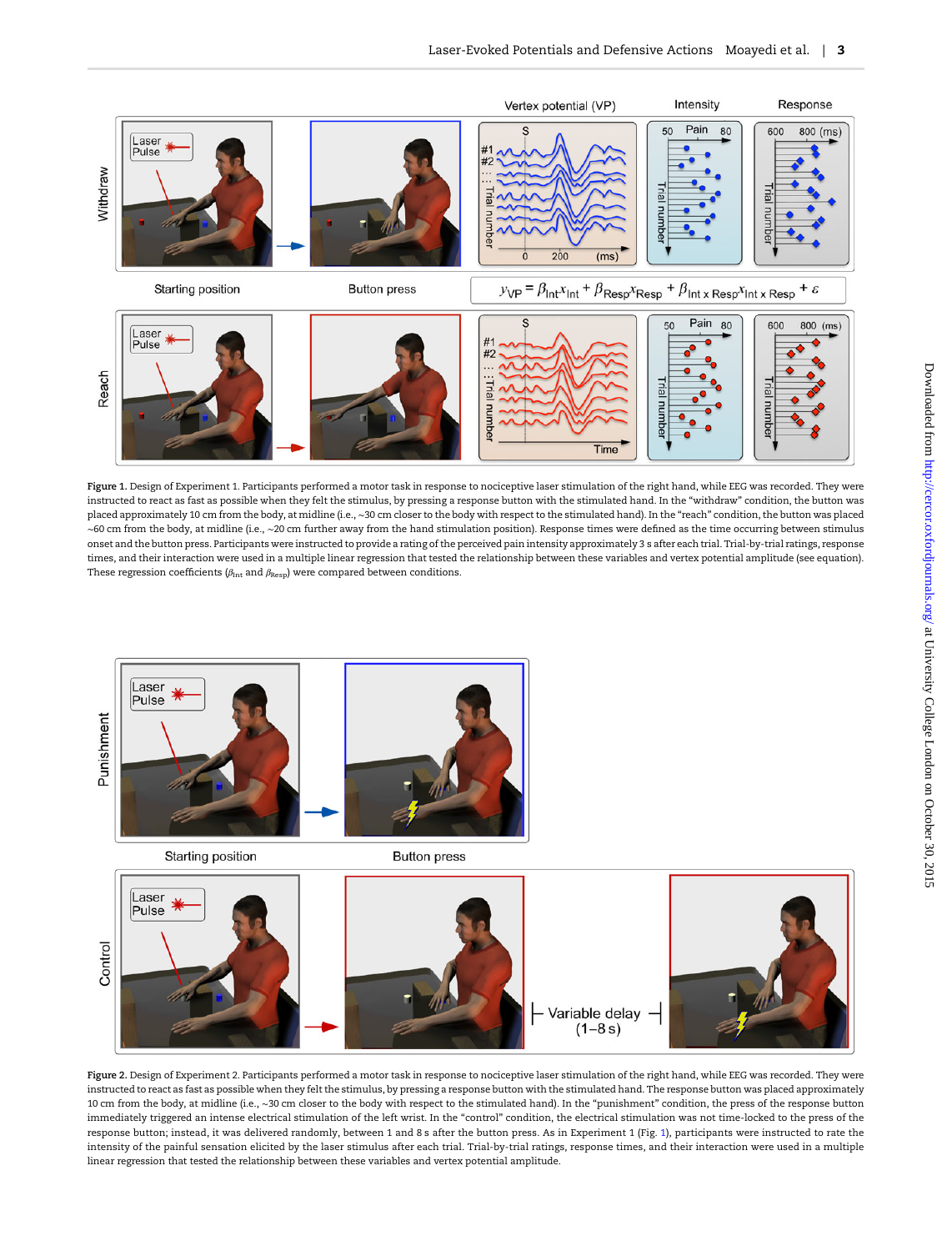<span id="page-2-0"></span>

Figure 1. Design of Experiment 1. Participants performed a motor task in response to nociceptive laser stimulation of the right hand, while EEG was recorded. They were instructed to react as fast as possible when they felt the stimulus, by pressing a response button with the stimulated hand. In the "withdraw" condition, the button was placed approximately 10 cm from the body, at midline (i.e., ∼30 cm closer to the body with respect to the stimulated hand). In the "reach" condition, the button was placed ∼60 cm from the body, at midline (i.e., ∼20 cm further away from the hand stimulation position). Response times were defined as the time occurring between stimulus onset and the button press. Participants were instructed to provide a rating of the perceived pain intensity approximately 3 s after each trial. Trial-by-trial ratings, response times, and their interaction were used in a multiple linear regression that tested the relationship between these variables and vertex potential amplitude (see equation). These regression coefficients ( $\beta_{\rm Int}$  and  $\beta_{\rm Resp}$ ) were compared between conditions.



Figure 2. Design of Experiment 2. Participants performed a motor task in response to nociceptive laser stimulation of the right hand, while EEG was recorded. They were instructed to react as fast as possible when they felt the stimulus, by pressing a response button with the stimulated hand. The response button was placed approximately 10 cm from the body, at midline (i.e., ∼30 cm closer to the body with respect to the stimulated hand). In the "punishment" condition, the press of the response button immediately triggered an intense electrical stimulation of the left wrist. In the "control" condition, the electrical stimulation was not time-locked to the press of the response button; instead, it was delivered randomly, between 1 and 8 s after the button press. As in Experiment 1 (Fig. 1), participants were instructed to rate the intensity of the painful sensation elicited by the laser stimulus after each trial. Trial-by-trial ratings, response times, and their interaction were used in a multiple linear regression that tested the relationship between these variables and vertex potential amplitude.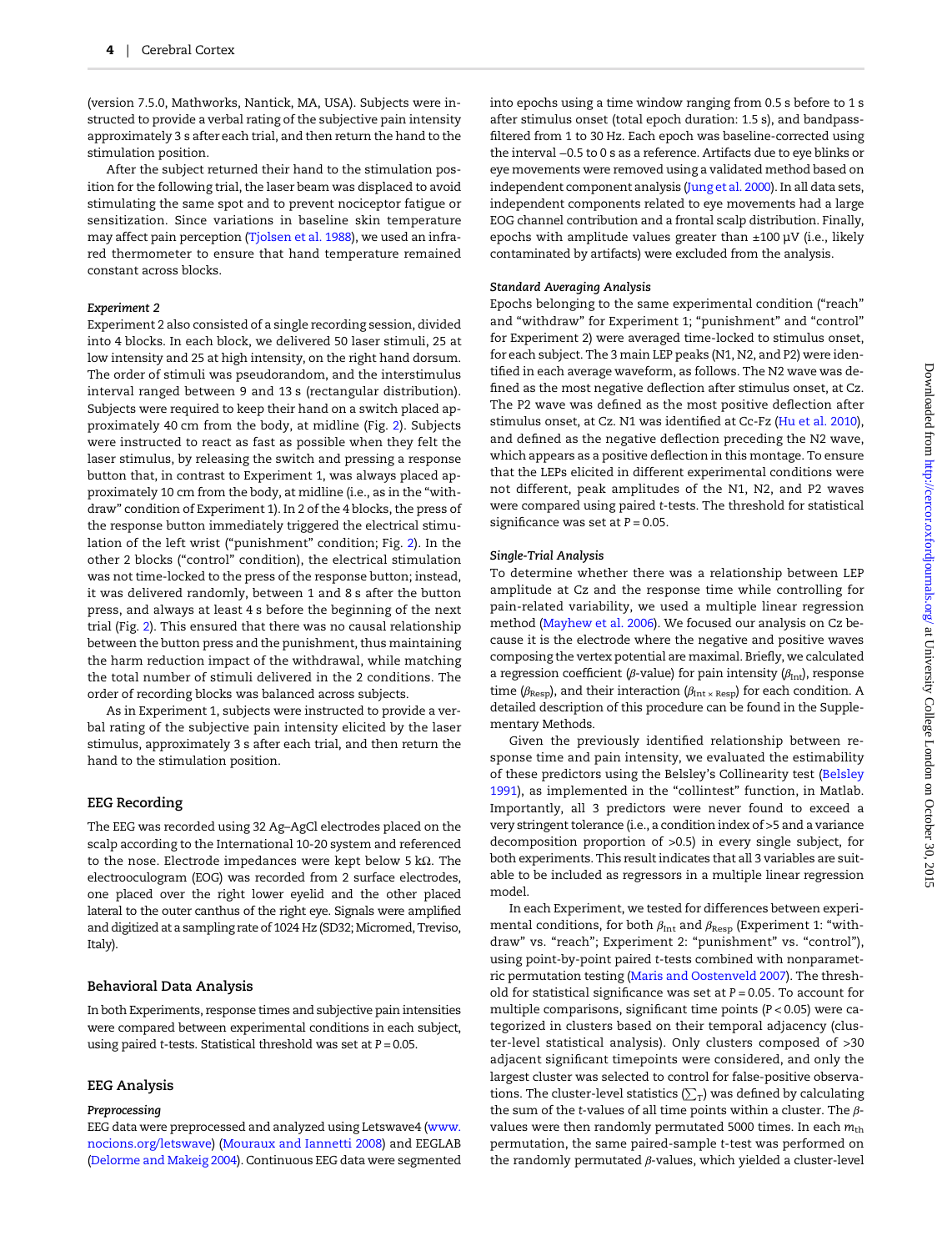(version 7.5.0, Mathworks, Nantick, MA, USA). Subjects were instructed to provide a verbal rating of the subjective pain intensity approximately 3 s after each trial, and then return the hand to the stimulation position.

After the subject returned their hand to the stimulation position for the following trial, the laser beam was displaced to avoid stimulating the same spot and to prevent nociceptor fatigue or sensitization. Since variations in baseline skin temperature may affect pain perception ([Tjolsen et al. 1988\)](#page-9-0), we used an infrared thermometer to ensure that hand temperature remained constant across blocks.

#### Experiment 2

Experiment 2 also consisted of a single recording session, divided into 4 blocks. In each block, we delivered 50 laser stimuli, 25 at low intensity and 25 at high intensity, on the right hand dorsum. The order of stimuli was pseudorandom, and the interstimulus interval ranged between 9 and 13 s (rectangular distribution). Subjects were required to keep their hand on a switch placed approximately 40 cm from the body, at midline (Fig. [2](#page-2-0)). Subjects were instructed to react as fast as possible when they felt the laser stimulus, by releasing the switch and pressing a response button that, in contrast to Experiment 1, was always placed approximately 10 cm from the body, at midline (i.e., as in the "withdraw" condition of Experiment 1). In 2 of the 4 blocks, the press of the response button immediately triggered the electrical stimulation of the left wrist ("punishment" condition; Fig. [2](#page-2-0)). In the other 2 blocks ("control" condition), the electrical stimulation was not time-locked to the press of the response button; instead, it was delivered randomly, between 1 and 8 s after the button press, and always at least 4 s before the beginning of the next trial (Fig. [2\)](#page-2-0). This ensured that there was no causal relationship between the button press and the punishment, thus maintaining the harm reduction impact of the withdrawal, while matching the total number of stimuli delivered in the 2 conditions. The order of recording blocks was balanced across subjects.

As in Experiment 1, subjects were instructed to provide a verbal rating of the subjective pain intensity elicited by the laser stimulus, approximately 3 s after each trial, and then return the hand to the stimulation position.

#### EEG Recording

The EEG was recorded using 32 Ag–AgCl electrodes placed on the scalp according to the International 10-20 system and referenced to the nose. Electrode impedances were kept below 5 kΩ. The electrooculogram (EOG) was recorded from 2 surface electrodes, one placed over the right lower eyelid and the other placed lateral to the outer canthus of the right eye. Signals were amplified and digitized at a sampling rate of 1024 Hz (SD32; Micromed, Treviso, Italy).

#### Behavioral Data Analysis

In both Experiments, response times and subjective pain intensities were compared between experimental conditions in each subject, using paired t-tests. Statistical threshold was set at  $P = 0.05$ .

#### EEG Analysis

#### Preprocessing

EEG data were preprocessed and analyzed using Letswave4 ([www.](www.nocions.org/letswave) [nocions.org/letswave](www.nocions.org/letswave)) [\(Mouraux and Iannetti 2008](#page-8-0)) and EEGLAB ([Delorme and Makeig 2004](#page-8-0)). Continuous EEG data were segmented

into epochs using a time window ranging from 0.5 s before to 1 s after stimulus onset (total epoch duration: 1.5 s), and bandpassfiltered from 1 to 30 Hz. Each epoch was baseline-corrected using the interval −0.5 to 0 s as a reference. Artifacts due to eye blinks or eye movements were removed using a validated method based on independent component analysis [\(Jung et al. 2000](#page-8-0)). In all data sets, independent components related to eye movements had a large EOG channel contribution and a frontal scalp distribution. Finally, epochs with amplitude values greater than  $\pm 100 \mu V$  (i.e., likely contaminated by artifacts) were excluded from the analysis.

#### Standard Averaging Analysis

Epochs belonging to the same experimental condition ("reach" and "withdraw" for Experiment 1; "punishment" and "control" for Experiment 2) were averaged time-locked to stimulus onset, for each subject. The 3 main LEP peaks (N1, N2, and P2) were identified in each average waveform, as follows. The N2 wave was defined as the most negative deflection after stimulus onset, at Cz. The P2 wave was defined as the most positive deflection after stimulus onset, at Cz. N1 was identified at Cc-Fz [\(Hu et al. 2010](#page-8-0)), and defined as the negative deflection preceding the N2 wave, which appears as a positive deflection in this montage. To ensure that the LEPs elicited in different experimental conditions were not different, peak amplitudes of the N1, N2, and P2 waves were compared using paired t-tests. The threshold for statistical significance was set at  $P = 0.05$ .

#### Single-Trial Analysis

To determine whether there was a relationship between LEP amplitude at Cz and the response time while controlling for pain-related variability, we used a multiple linear regression method ([Mayhew et al. 2006](#page-8-0)). We focused our analysis on Cz because it is the electrode where the negative and positive waves composing the vertex potential are maximal. Briefly, we calculated a regression coefficient (β-value) for pain intensity ( $β_{\text{Int}}$ ), response time ( $\beta_{\text{Resp}}$ ), and their interaction ( $\beta_{\text{Int } \times \text{Resp}}$ ) for each condition. A detailed description of this procedure can be found in the Supplementary Methods.

Given the previously identified relationship between response time and pain intensity, we evaluated the estimability of these predictors using the Belsley's Collinearity test ([Belsley](#page-8-0) [1991\)](#page-8-0), as implemented in the "collintest" function, in Matlab. Importantly, all 3 predictors were never found to exceed a very stringent tolerance (i.e., a condition index of >5 and a variance decomposition proportion of >0.5) in every single subject, for both experiments. This result indicates that all 3 variables are suitable to be included as regressors in a multiple linear regression model.

In each Experiment, we tested for differences between experimental conditions, for both  $\beta_{\text{Int}}$  and  $\beta_{\text{Resp}}$  (Experiment 1: "withdraw" vs. "reach"; Experiment 2: "punishment" vs. "control"), using point-by-point paired t-tests combined with nonparametric permutation testing ([Maris and Oostenveld 2007\)](#page-8-0). The threshold for statistical significance was set at  $P = 0.05$ . To account for multiple comparisons, significant time points (P < 0.05) were categorized in clusters based on their temporal adjacency (cluster-level statistical analysis). Only clusters composed of >30 adjacent significant timepoints were considered, and only the largest cluster was selected to control for false-positive observations. The cluster-level statistics ( $\sum_{\text{T}}$ ) was defined by calculating the sum of the t-values of all time points within a cluster. The  $\beta$ values were then randomly permutated 5000 times. In each  $m_{\text{th}}$ permutation, the same paired-sample t-test was performed on the randomly permutated  $β$ -values, which yielded a cluster-level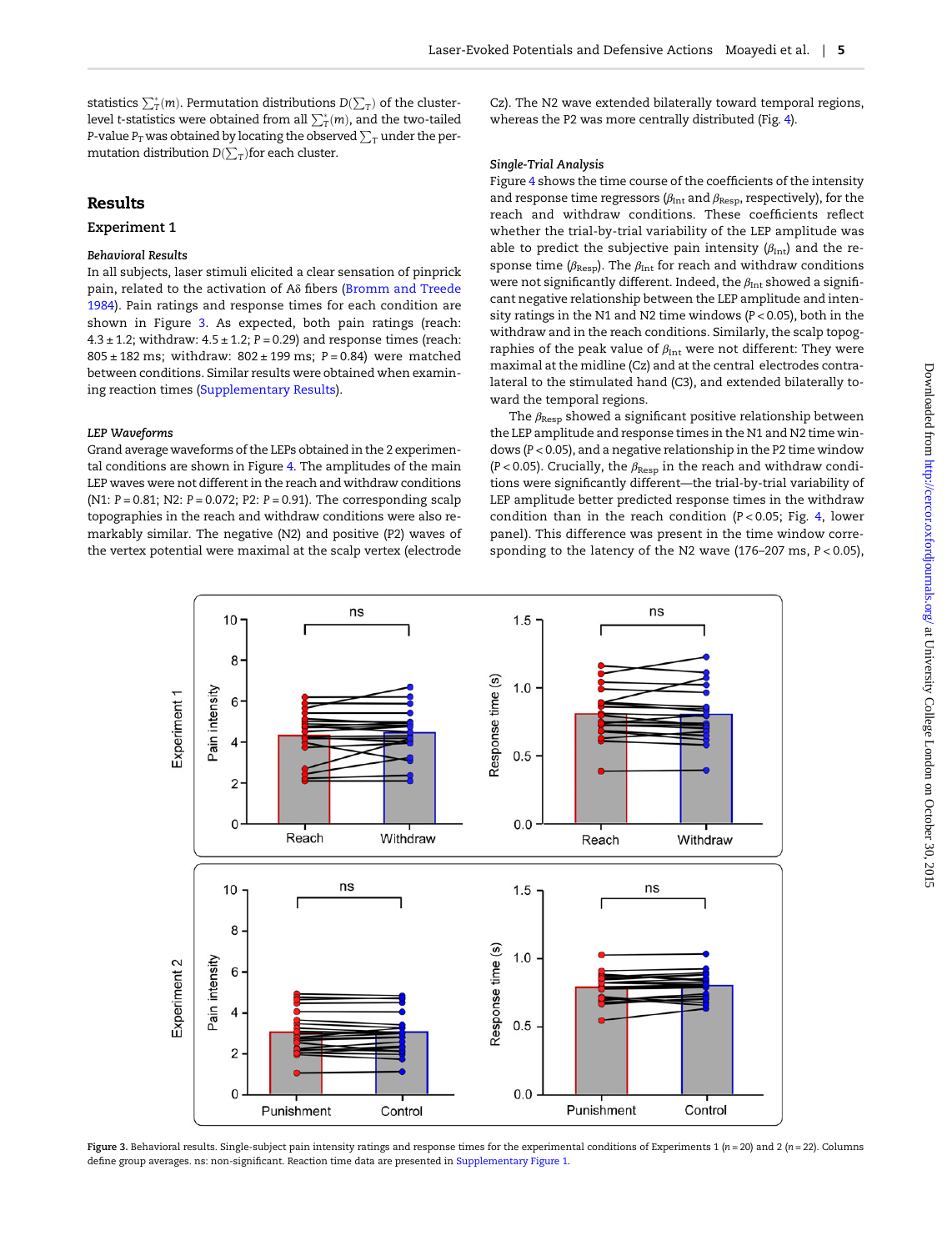<span id="page-4-0"></span>statistics  $\sum_{\rm T}^*(m)$ . Permutation distributions  ${\rm D}(\sum_{\rm T})$  of the clusterlevel t-statistics were obtained from all  $\sum^*_T(m)$ , and the two-tailed P-value  $P_T$  was obtained by locating the observed  $\sum_T$  under the permutation distribution  $\mathsf{D}(\sum_\mathrm{T})$ for each cluster.

# Results

#### Experiment 1

#### Behavioral Results

In all subjects, laser stimuli elicited a clear sensation of pinprick pain, related to the activation of Aδ fibers [\(Bromm and Treede](#page-8-0) [1984\)](#page-8-0). Pain ratings and response times for each condition are shown in Figure 3. As expected, both pain ratings (reach:  $4.3 \pm 1.2$ ; withdraw:  $4.5 \pm 1.2$ ;  $P = 0.29$ ) and response times (reach:  $805 \pm 182$  ms; withdraw:  $802 \pm 199$  ms;  $P = 0.84$ ) were matched between conditions. Similar results were obtained when examining reaction times [\(Supplementary Results](http://cercor.oxfordjournals.org/lookup/suppl/doi:10.1093/cercor/bhv149/-/DC1)).

#### LEP Waveforms

Grand average waveforms of the LEPs obtained in the 2 experimental conditions are shown in Figure [4.](#page-5-0) The amplitudes of the main LEP waves were not different in the reach and withdraw conditions (N1:  $P = 0.81$ ; N2:  $P = 0.072$ ; P2:  $P = 0.91$ ). The corresponding scalp topographies in the reach and withdraw conditions were also remarkably similar. The negative (N2) and positive (P2) waves of the vertex potential were maximal at the scalp vertex (electrode

Cz). The N2 wave extended bilaterally toward temporal regions, whereas the P2 was more centrally distributed (Fig. [4\)](#page-5-0).

#### Single-Trial Analysis

Figure [4](#page-5-0) shows the time course of the coefficients of the intensity and response time regressors ( $\beta_{\text{Int}}$  and  $\beta_{\text{Resp}}$ , respectively), for the reach and withdraw conditions. These coefficients reflect whether the trial-by-trial variability of the LEP amplitude was able to predict the subjective pain intensity  $(\beta_{\text{Int}})$  and the response time ( $\beta_{\text{Resp}}$ ). The  $\beta_{\text{Int}}$  for reach and withdraw conditions were not significantly different. Indeed, the  $\beta_{\text{Int}}$  showed a significant negative relationship between the LEP amplitude and intensity ratings in the N1 and N2 time windows (P < 0.05), both in the withdraw and in the reach conditions. Similarly, the scalp topographies of the peak value of  $\beta_{\rm Int}$  were not different: They were maximal at the midline (Cz) and at the central electrodes contralateral to the stimulated hand (C3), and extended bilaterally toward the temporal regions.

The  $\beta_{\text{Resp}}$  showed a significant positive relationship between the LEP amplitude and response times in the N1 and N2 time windows (P < 0.05), and a negative relationship in the P2 time window (P < 0.05). Crucially, the  $\beta_{\text{Resp}}$  in the reach and withdraw conditions were significantly different—the trial-by-trial variability of LEP amplitude better predicted response times in the withdraw condition than in the reach condition  $(P < 0.05$ ; Fig. [4](#page-5-0), lower panel). This difference was present in the time window corresponding to the latency of the N2 wave (176–207 ms, P < 0.05),



Figure 3. Behavioral results. Single-subject pain intensity ratings and response times for the experimental conditions of Experiments 1 (n = 20) and 2 (n = 22). Columns define group averages. ns: non-significant. Reaction time data are presented in [Supplementary Figure 1](http://cercor.oxfordjournals.org/lookup/suppl/doi:10.1093/cercor/bhv149/-/DC1).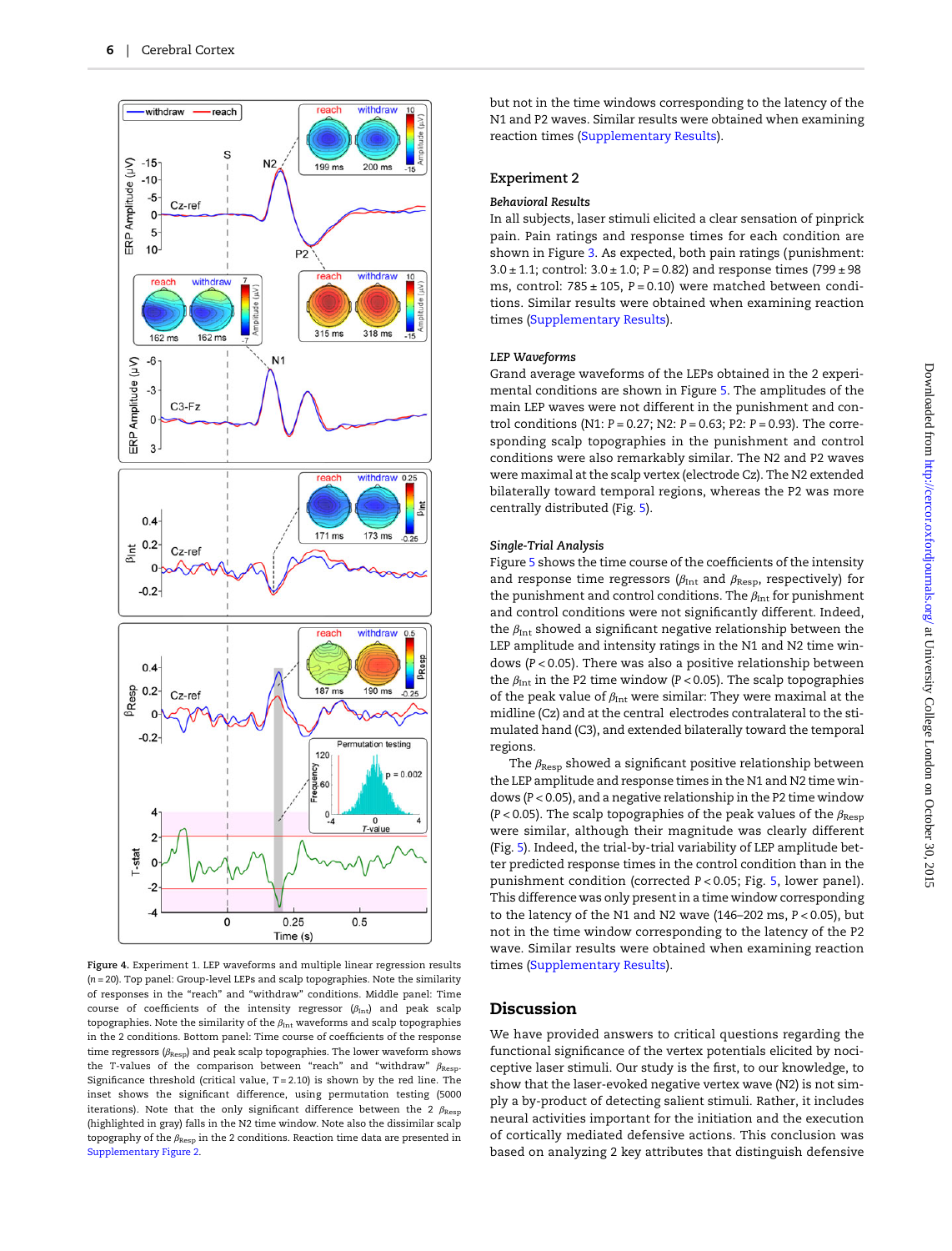<span id="page-5-0"></span>

Figure 4. Experiment 1. LEP waveforms and multiple linear regression results  $(n = 20)$ . Top panel: Group-level LEPs and scalp topographies. Note the similarity of responses in the "reach" and "withdraw" conditions. Middle panel: Time course of coefficients of the intensity regressor  $(\beta_{\rm Int})$  and peak scalp topographies. Note the similarity of the  $\beta_{\rm Int}$  waveforms and scalp topographies in the 2 conditions. Bottom panel: Time course of coefficients of the response time regressors  $(\beta_{\rm Resp})$  and peak scalp topographies. The lower waveform shows the T-values of the comparison between "reach" and "withdraw"  $\beta_{\text{Resp}}$ . Significance threshold (critical value,  $T = 2.10$ ) is shown by the red line. The inset shows the significant difference, using permutation testing (5000 iterations). Note that the only significant difference between the 2  $\beta_{\text{Resp}}$ (highlighted in gray) falls in the N2 time window. Note also the dissimilar scalp topography of the  $\beta_{\rm Resp}$  in the 2 conditions. Reaction time data are presented in [Supplementary Figure 2](http://cercor.oxfordjournals.org/lookup/suppl/doi:10.1093/cercor/bhv149/-/DC1).

but not in the time windows corresponding to the latency of the N1 and P2 waves. Similar results were obtained when examining reaction times ([Supplementary Results\)](http://cercor.oxfordjournals.org/lookup/suppl/doi:10.1093/cercor/bhv149/-/DC1).

## Experiment 2

#### Behavioral Results

In all subjects, laser stimuli elicited a clear sensation of pinprick pain. Pain ratings and response times for each condition are shown in Figure [3](#page-4-0). As expected, both pain ratings (punishment:  $3.0 \pm 1.1$ ; control:  $3.0 \pm 1.0$ ; P = 0.82) and response times (799  $\pm$  98 ms, control:  $785 \pm 105$ ,  $P = 0.10$ ) were matched between conditions. Similar results were obtained when examining reaction times ([Supplementary Results\)](http://cercor.oxfordjournals.org/lookup/suppl/doi:10.1093/cercor/bhv149/-/DC1).

#### LEP Waveforms

Grand average waveforms of the LEPs obtained in the 2 experimental conditions are shown in Figure [5.](#page-6-0) The amplitudes of the main LEP waves were not different in the punishment and control conditions (N1: P = 0.27; N2: P = 0.63; P2: P = 0.93). The corresponding scalp topographies in the punishment and control conditions were also remarkably similar. The N2 and P2 waves were maximal at the scalp vertex (electrode Cz). The N2 extended bilaterally toward temporal regions, whereas the P2 was more centrally distributed (Fig. [5](#page-6-0)).

#### Single-Trial Analysis

Figure [5](#page-6-0) shows the time course of the coefficients of the intensity and response time regressors ( $\beta_{\text{Int}}$  and  $\beta_{\text{Resp}}$ , respectively) for the punishment and control conditions. The  $\beta_{\text{Int}}$  for punishment and control conditions were not significantly different. Indeed, the  $\beta_{\text{Int}}$  showed a significant negative relationship between the LEP amplitude and intensity ratings in the N1 and N2 time windows (P < 0.05). There was also a positive relationship between the  $\beta_{\text{Int}}$  in the P2 time window (P < 0.05). The scalp topographies of the peak value of  $\beta_{\rm Int}$  were similar: They were maximal at the midline (Cz) and at the central electrodes contralateral to the stimulated hand (C3), and extended bilaterally toward the temporal regions.

The  $\beta_{\text{Resp}}$  showed a significant positive relationship between the LEP amplitude and response times in the N1 and N2 time windows (P < 0.05), and a negative relationship in the P2 time window (P < 0.05). The scalp topographies of the peak values of the  $\beta_{\rm Resp}$ were similar, although their magnitude was clearly different (Fig. [5\)](#page-6-0). Indeed, the trial-by-trial variability of LEP amplitude better predicted response times in the control condition than in the punishment condition (corrected P < 0.05; Fig. [5](#page-6-0), lower panel). This difference was only present in a time window corresponding to the latency of the N1 and N2 wave (146–202 ms, P < 0.05), but not in the time window corresponding to the latency of the P2 wave. Similar results were obtained when examining reaction times ([Supplementary Results\)](http://cercor.oxfordjournals.org/lookup/suppl/doi:10.1093/cercor/bhv149/-/DC1).

# Discussion

We have provided answers to critical questions regarding the functional significance of the vertex potentials elicited by nociceptive laser stimuli. Our study is the first, to our knowledge, to show that the laser-evoked negative vertex wave (N2) is not simply a by-product of detecting salient stimuli. Rather, it includes neural activities important for the initiation and the execution of cortically mediated defensive actions. This conclusion was based on analyzing 2 key attributes that distinguish defensive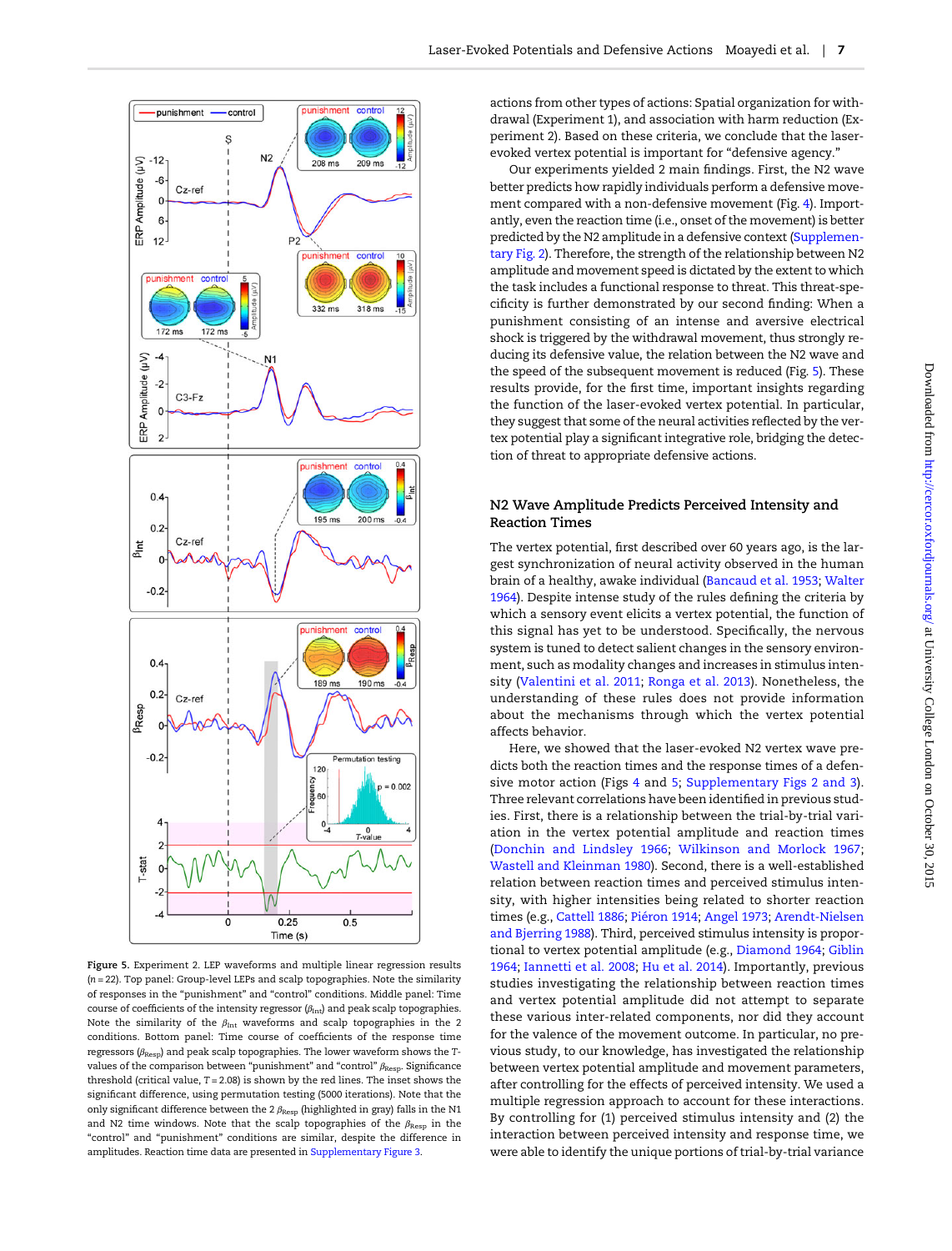<span id="page-6-0"></span>

Figure 5. Experiment 2. LEP waveforms and multiple linear regression results (n = 22). Top panel: Group-level LEPs and scalp topographies. Note the similarity of responses in the "punishment" and "control" conditions. Middle panel: Time course of coefficients of the intensity regressor  $(\beta_{\rm Int})$  and peak scalp topographies Note the similarity of the  $\beta_{\rm Int}$  waveforms and scalp topographies in the 2 conditions. Bottom panel: Time course of coefficients of the response time regressors ( $\beta_{\text{Resp}}$ ) and peak scalp topographies. The lower waveform shows the Tvalues of the comparison between "punishment" and "control"  $\beta_{\text{Resp}}$ . Significance threshold (critical value,  $T = 2.08$ ) is shown by the red lines. The inset shows the significant difference, using permutation testing (5000 iterations). Note that the only significant difference between the 2  $\beta_{\rm Resp}$  (highlighted in gray) falls in the N1 and N2 time windows. Note that the scalp topographies of the  $\beta_{\text{Resp}}$  in the "control" and "punishment" conditions are similar, despite the difference in amplitudes. Reaction time data are presented in [Supplementary Figure 3.](http://cercor.oxfordjournals.org/lookup/suppl/doi:10.1093/cercor/bhv149/-/DC1)

actions from other types of actions: Spatial organization for withdrawal (Experiment 1), and association with harm reduction (Experiment 2). Based on these criteria, we conclude that the laserevoked vertex potential is important for "defensive agency."

Our experiments yielded 2 main findings. First, the N2 wave better predicts how rapidly individuals perform a defensive movement compared with a non-defensive movement (Fig. [4\)](#page-5-0). Importantly, even the reaction time (i.e., onset of the movement) is better predicted by the N2 amplitude in a defensive context ([Supplemen](http://cercor.oxfordjournals.org/lookup/suppl/doi:10.1093/cercor/bhv149/-/DC1)[tary Fig. 2\)](http://cercor.oxfordjournals.org/lookup/suppl/doi:10.1093/cercor/bhv149/-/DC1). Therefore, the strength of the relationship between N2 amplitude and movement speed is dictated by the extent to which the task includes a functional response to threat. This threat-specificity is further demonstrated by our second finding: When a punishment consisting of an intense and aversive electrical shock is triggered by the withdrawal movement, thus strongly reducing its defensive value, the relation between the N2 wave and the speed of the subsequent movement is reduced (Fig. 5). These results provide, for the first time, important insights regarding the function of the laser-evoked vertex potential. In particular, they suggest that some of the neural activities reflected by the vertex potential play a significant integrative role, bridging the detection of threat to appropriate defensive actions.

# N2 Wave Amplitude Predicts Perceived Intensity and Reaction Times

The vertex potential, first described over 60 years ago, is the largest synchronization of neural activity observed in the human brain of a healthy, awake individual ([Bancaud et al. 1953](#page-8-0); [Walter](#page-9-0) [1964](#page-9-0)). Despite intense study of the rules defining the criteria by which a sensory event elicits a vertex potential, the function of this signal has yet to be understood. Specifically, the nervous system is tuned to detect salient changes in the sensory environment, such as modality changes and increases in stimulus intensity [\(Valentini et al. 2011;](#page-9-0) [Ronga et al. 2013\)](#page-9-0). Nonetheless, the understanding of these rules does not provide information about the mechanisms through which the vertex potential affects behavior.

Here, we showed that the laser-evoked N2 vertex wave predicts both the reaction times and the response times of a defensive motor action (Figs [4](#page-5-0) and 5; [Supplementary Figs 2 and 3](http://cercor.oxfordjournals.org/lookup/suppl/doi:10.1093/cercor/bhv149/-/DC1)). Three relevant correlations have been identified in previous studies. First, there is a relationship between the trial-by-trial variation in the vertex potential amplitude and reaction times ([Donchin and Lindsley 1966;](#page-8-0) [Wilkinson and Morlock 1967;](#page-9-0) [Wastell and Kleinman 1980](#page-9-0)). Second, there is a well-established relation between reaction times and perceived stimulus intensity, with higher intensities being related to shorter reaction times (e.g., [Cattell 1886;](#page-8-0) [Piéron 1914;](#page-8-0) [Angel 1973;](#page-8-0) [Arendt-Nielsen](#page-8-0) [and Bjerring 1988\)](#page-8-0). Third, perceived stimulus intensity is proportional to vertex potential amplitude (e.g., [Diamond 1964](#page-8-0); [Giblin](#page-8-0) [1964;](#page-8-0) [Iannetti et al. 2008;](#page-8-0) [Hu et al. 2014\)](#page-8-0). Importantly, previous studies investigating the relationship between reaction times and vertex potential amplitude did not attempt to separate these various inter-related components, nor did they account for the valence of the movement outcome. In particular, no previous study, to our knowledge, has investigated the relationship between vertex potential amplitude and movement parameters, after controlling for the effects of perceived intensity. We used a multiple regression approach to account for these interactions. By controlling for (1) perceived stimulus intensity and (2) the interaction between perceived intensity and response time, we were able to identify the unique portions of trial-by-trial variance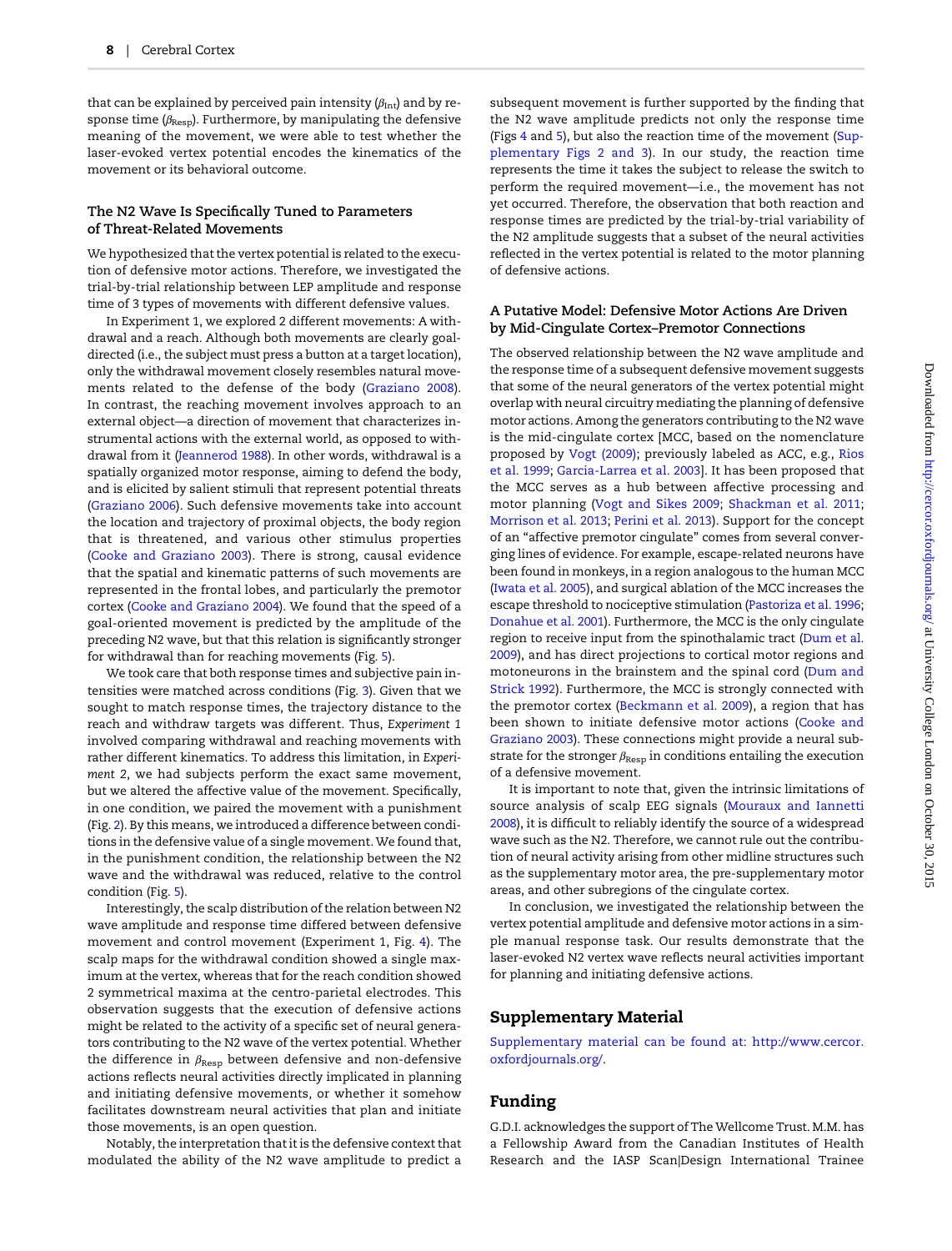that can be explained by perceived pain intensity  $(\beta_{\rm Int})$  and by response time  $(\beta_{\text{Resp}})$ . Furthermore, by manipulating the defensive meaning of the movement, we were able to test whether the laser-evoked vertex potential encodes the kinematics of the movement or its behavioral outcome.

#### The N2 Wave Is Specifically Tuned to Parameters of Threat-Related Movements

We hypothesized that the vertex potential is related to the execution of defensive motor actions. Therefore, we investigated the trial-by-trial relationship between LEP amplitude and response time of 3 types of movements with different defensive values.

In Experiment 1, we explored 2 different movements: A withdrawal and a reach. Although both movements are clearly goaldirected (i.e., the subject must press a button at a target location), only the withdrawal movement closely resembles natural movements related to the defense of the body ([Graziano 2008](#page-8-0)). In contrast, the reaching movement involves approach to an external object—a direction of movement that characterizes instrumental actions with the external world, as opposed to withdrawal from it ([Jeannerod 1988\)](#page-8-0). In other words, withdrawal is a spatially organized motor response, aiming to defend the body, and is elicited by salient stimuli that represent potential threats ([Graziano 2006](#page-8-0)). Such defensive movements take into account the location and trajectory of proximal objects, the body region that is threatened, and various other stimulus properties ([Cooke and Graziano 2003](#page-8-0)). There is strong, causal evidence that the spatial and kinematic patterns of such movements are represented in the frontal lobes, and particularly the premotor cortex ([Cooke and Graziano 2004\)](#page-8-0). We found that the speed of a goal-oriented movement is predicted by the amplitude of the preceding N2 wave, but that this relation is significantly stronger for withdrawal than for reaching movements (Fig. [5\)](#page-6-0).

We took care that both response times and subjective pain intensities were matched across conditions (Fig. [3\)](#page-4-0). Given that we sought to match response times, the trajectory distance to the reach and withdraw targets was different. Thus, Experiment 1 involved comparing withdrawal and reaching movements with rather different kinematics. To address this limitation, in Experiment 2, we had subjects perform the exact same movement, but we altered the affective value of the movement. Specifically, in one condition, we paired the movement with a punishment (Fig. [2](#page-2-0)). By this means, we introduced a difference between conditions in the defensive value of a single movement. We found that, in the punishment condition, the relationship between the N2 wave and the withdrawal was reduced, relative to the control condition (Fig. [5](#page-6-0)).

Interestingly, the scalp distribution of the relation between N2 wave amplitude and response time differed between defensive movement and control movement (Experiment 1, Fig. [4\)](#page-5-0). The scalp maps for the withdrawal condition showed a single maximum at the vertex, whereas that for the reach condition showed 2 symmetrical maxima at the centro-parietal electrodes. This observation suggests that the execution of defensive actions might be related to the activity of a specific set of neural generators contributing to the N2 wave of the vertex potential. Whether the difference in  $\beta_{\text{Resp}}$  between defensive and non-defensive actions reflects neural activities directly implicated in planning and initiating defensive movements, or whether it somehow facilitates downstream neural activities that plan and initiate those movements, is an open question.

Notably, the interpretation that it is the defensive context that modulated the ability of the N2 wave amplitude to predict a

subsequent movement is further supported by the finding that the N2 wave amplitude predicts not only the response time (Figs [4](#page-5-0) and [5](#page-6-0)), but also the reaction time of the movement ([Sup](http://cercor.oxfordjournals.org/lookup/suppl/doi:10.1093/cercor/bhv149/-/DC1)[plementary Figs 2 and 3\)](http://cercor.oxfordjournals.org/lookup/suppl/doi:10.1093/cercor/bhv149/-/DC1). In our study, the reaction time represents the time it takes the subject to release the switch to perform the required movement—i.e., the movement has not yet occurred. Therefore, the observation that both reaction and response times are predicted by the trial-by-trial variability of the N2 amplitude suggests that a subset of the neural activities reflected in the vertex potential is related to the motor planning of defensive actions.

## A Putative Model: Defensive Motor Actions Are Driven by Mid-Cingulate Cortex–Premotor Connections

The observed relationship between the N2 wave amplitude and the response time of a subsequent defensive movement suggests that some of the neural generators of the vertex potential might overlap with neural circuitry mediating the planning of defensive motor actions. Among the generators contributing to the N2 wave is the mid-cingulate cortex [MCC, based on the nomenclature proposed by [Vogt \(2009\)](#page-9-0); previously labeled as ACC, e.g., [Rios](#page-9-0) [et al. 1999](#page-9-0); [Garcia-Larrea et al. 2003](#page-8-0)]. It has been proposed that the MCC serves as a hub between affective processing and motor planning [\(Vogt and Sikes 2009](#page-9-0); [Shackman et al. 2011;](#page-9-0) [Morrison et al. 2013](#page-8-0); [Perini et al. 2013](#page-8-0)). Support for the concept of an "affective premotor cingulate" comes from several converging lines of evidence. For example, escape-related neurons have been found in monkeys, in a region analogous to the human MCC ([Iwata et al. 2005\)](#page-8-0), and surgical ablation of the MCC increases the escape threshold to nociceptive stimulation [\(Pastoriza et al. 1996;](#page-8-0) [Donahue et al. 2001\)](#page-8-0). Furthermore, the MCC is the only cingulate region to receive input from the spinothalamic tract [\(Dum et al.](#page-8-0) [2009\)](#page-8-0), and has direct projections to cortical motor regions and motoneurons in the brainstem and the spinal cord [\(Dum and](#page-8-0) [Strick 1992\)](#page-8-0). Furthermore, the MCC is strongly connected with the premotor cortex ([Beckmann et al. 2009\)](#page-8-0), a region that has been shown to initiate defensive motor actions ([Cooke and](#page-8-0) [Graziano 2003\)](#page-8-0). These connections might provide a neural substrate for the stronger  $\beta_{\mathrm{Resp}}$  in conditions entailing the execution of a defensive movement.

It is important to note that, given the intrinsic limitations of source analysis of scalp EEG signals [\(Mouraux and Iannetti](#page-8-0) [2008](#page-8-0)), it is difficult to reliably identify the source of a widespread wave such as the N2. Therefore, we cannot rule out the contribution of neural activity arising from other midline structures such as the supplementary motor area, the pre-supplementary motor areas, and other subregions of the cingulate cortex.

In conclusion, we investigated the relationship between the vertex potential amplitude and defensive motor actions in a simple manual response task. Our results demonstrate that the laser-evoked N2 vertex wave reflects neural activities important for planning and initiating defensive actions.

# Supplementary Material

[Supplementary material can be found at: http://www.cercor.](http://cercor.oxfordjournals.org/lookup/suppl/doi:10.1093/cercor/bhv149/-/DC1) [oxfordjournals.org/](http://cercor.oxfordjournals.org/lookup/suppl/doi:10.1093/cercor/bhv149/-/DC1).

# Funding

G.D.I. acknowledges the support of The Wellcome Trust. M.M. has a Fellowship Award from the Canadian Institutes of Health Research and the IASP Scan|Design International Trainee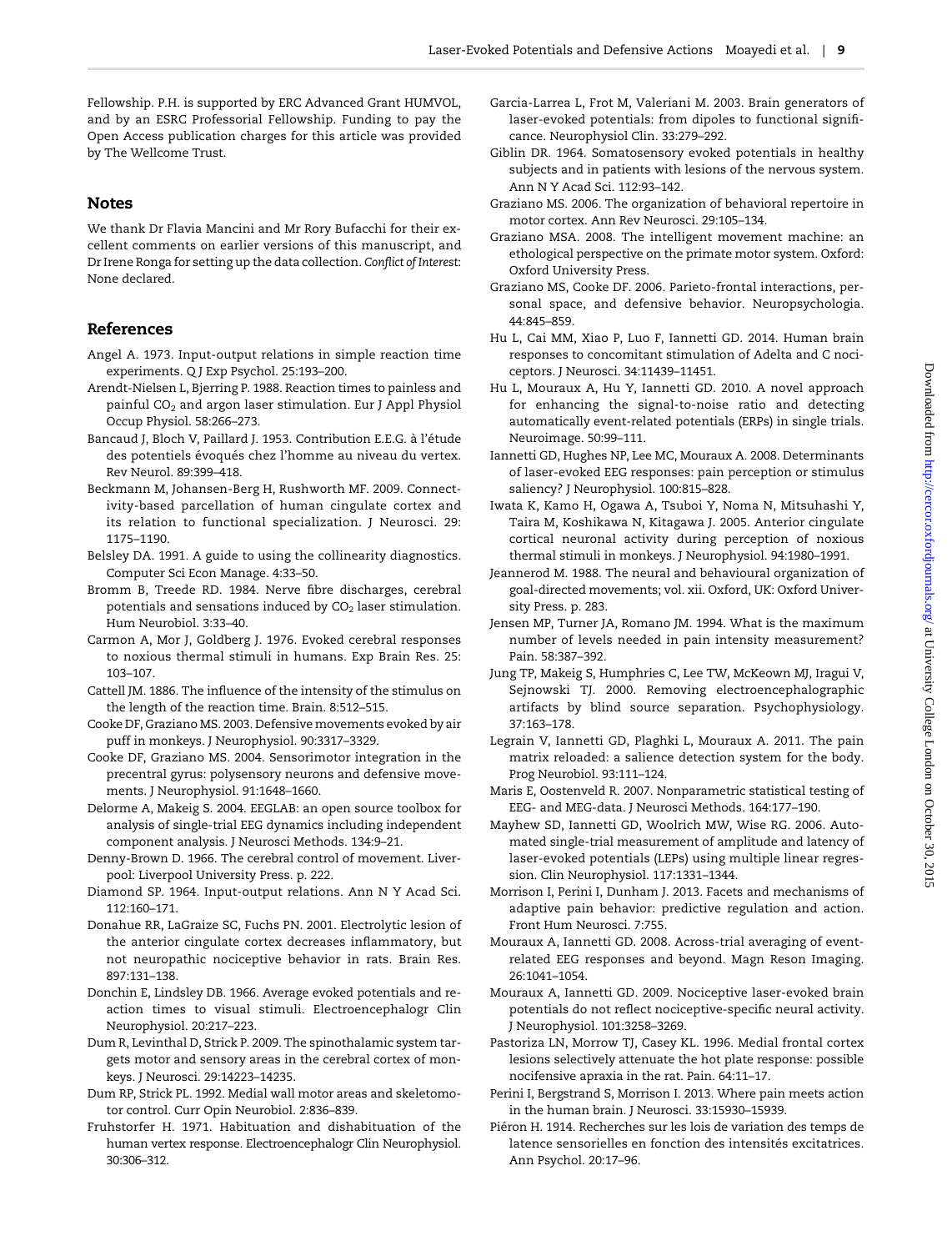<span id="page-8-0"></span>Fellowship. P.H. is supported by ERC Advanced Grant HUMVOL, and by an ESRC Professorial Fellowship. Funding to pay the Open Access publication charges for this article was provided by The Wellcome Trust.

# Notes

We thank Dr Flavia Mancini and Mr Rory Bufacchi for their excellent comments on earlier versions of this manuscript, and Dr Irene Ronga for setting up the data collection. Conflict of Interest: None declared.

# References

- Angel A. 1973. Input-output relations in simple reaction time experiments. Q J Exp Psychol. 25:193–200.
- Arendt-Nielsen L, Bjerring P. 1988. Reaction times to painless and painful CO<sub>2</sub> and argon laser stimulation. Eur J Appl Physiol Occup Physiol. 58:266–273.
- Bancaud J, Bloch V, Paillard J. 1953. Contribution E.E.G. à l'étude des potentiels évoqués chez l'homme au niveau du vertex. Rev Neurol. 89:399–418.
- Beckmann M, Johansen-Berg H, Rushworth MF. 2009. Connectivity-based parcellation of human cingulate cortex and its relation to functional specialization. J Neurosci. 29: 1175–1190.
- Belsley DA. 1991. A guide to using the collinearity diagnostics. Computer Sci Econ Manage. 4:33–50.
- Bromm B, Treede RD. 1984. Nerve fibre discharges, cerebral potentials and sensations induced by  $CO<sub>2</sub>$  laser stimulation. Hum Neurobiol. 3:33–40.
- Carmon A, Mor J, Goldberg J. 1976. Evoked cerebral responses to noxious thermal stimuli in humans. Exp Brain Res. 25: 103–107.
- Cattell JM. 1886. The influence of the intensity of the stimulus on the length of the reaction time. Brain. 8:512–515.
- Cooke DF, Graziano MS. 2003. Defensive movements evoked by air puff in monkeys. J Neurophysiol. 90:3317–3329.
- Cooke DF, Graziano MS. 2004. Sensorimotor integration in the precentral gyrus: polysensory neurons and defensive movements. J Neurophysiol. 91:1648–1660.
- Delorme A, Makeig S. 2004. EEGLAB: an open source toolbox for analysis of single-trial EEG dynamics including independent component analysis. J Neurosci Methods. 134:9–21.
- Denny-Brown D. 1966. The cerebral control of movement. Liverpool: Liverpool University Press. p. 222.
- Diamond SP. 1964. Input-output relations. Ann N Y Acad Sci. 112:160–171.
- Donahue RR, LaGraize SC, Fuchs PN. 2001. Electrolytic lesion of the anterior cingulate cortex decreases inflammatory, but not neuropathic nociceptive behavior in rats. Brain Res. 897:131–138.
- Donchin E, Lindsley DB. 1966. Average evoked potentials and reaction times to visual stimuli. Electroencephalogr Clin Neurophysiol. 20:217–223.
- Dum R, Levinthal D, Strick P. 2009. The spinothalamic system targets motor and sensory areas in the cerebral cortex of monkeys. J Neurosci. 29:14223–14235.
- Dum RP, Strick PL. 1992. Medial wall motor areas and skeletomotor control. Curr Opin Neurobiol. 2:836–839.
- Fruhstorfer H. 1971. Habituation and dishabituation of the human vertex response. Electroencephalogr Clin Neurophysiol. 30:306–312.
- Garcia-Larrea L, Frot M, Valeriani M. 2003. Brain generators of laser-evoked potentials: from dipoles to functional significance. Neurophysiol Clin. 33:279–292.
- Giblin DR. 1964. Somatosensory evoked potentials in healthy subjects and in patients with lesions of the nervous system. Ann N Y Acad Sci. 112:93–142.
- Graziano MS. 2006. The organization of behavioral repertoire in motor cortex. Ann Rev Neurosci. 29:105–134.
- Graziano MSA. 2008. The intelligent movement machine: an ethological perspective on the primate motor system. Oxford: Oxford University Press.
- Graziano MS, Cooke DF. 2006. Parieto-frontal interactions, personal space, and defensive behavior. Neuropsychologia. 44:845–859.
- Hu L, Cai MM, Xiao P, Luo F, Iannetti GD. 2014. Human brain responses to concomitant stimulation of Adelta and C nociceptors. J Neurosci. 34:11439–11451.
- Hu L, Mouraux A, Hu Y, Iannetti GD. 2010. A novel approach for enhancing the signal-to-noise ratio and detecting automatically event-related potentials (ERPs) in single trials. Neuroimage. 50:99–111.
- Iannetti GD, Hughes NP, Lee MC, Mouraux A. 2008. Determinants of laser-evoked EEG responses: pain perception or stimulus saliency? J Neurophysiol. 100:815–828.
- Iwata K, Kamo H, Ogawa A, Tsuboi Y, Noma N, Mitsuhashi Y, Taira M, Koshikawa N, Kitagawa J. 2005. Anterior cingulate cortical neuronal activity during perception of noxious thermal stimuli in monkeys. J Neurophysiol. 94:1980–1991.
- Jeannerod M. 1988. The neural and behavioural organization of goal-directed movements; vol. xii. Oxford, UK: Oxford University Press. p. 283.
- Jensen MP, Turner JA, Romano JM. 1994. What is the maximum number of levels needed in pain intensity measurement? Pain. 58:387–392.
- Jung TP, Makeig S, Humphries C, Lee TW, McKeown MJ, Iragui V, Sejnowski TJ. 2000. Removing electroencephalographic artifacts by blind source separation. Psychophysiology. 37:163–178.
- Legrain V, Iannetti GD, Plaghki L, Mouraux A. 2011. The pain matrix reloaded: a salience detection system for the body. Prog Neurobiol. 93:111–124.
- Maris E, Oostenveld R. 2007. Nonparametric statistical testing of EEG- and MEG-data. J Neurosci Methods. 164:177–190.
- Mayhew SD, Iannetti GD, Woolrich MW, Wise RG. 2006. Automated single-trial measurement of amplitude and latency of laser-evoked potentials (LEPs) using multiple linear regression. Clin Neurophysiol. 117:1331–1344.
- Morrison I, Perini I, Dunham J. 2013. Facets and mechanisms of adaptive pain behavior: predictive regulation and action. Front Hum Neurosci. 7:755.
- Mouraux A, Iannetti GD. 2008. Across-trial averaging of eventrelated EEG responses and beyond. Magn Reson Imaging. 26:1041–1054.
- Mouraux A, Iannetti GD. 2009. Nociceptive laser-evoked brain potentials do not reflect nociceptive-specific neural activity. J Neurophysiol. 101:3258–3269.
- Pastoriza LN, Morrow TJ, Casey KL. 1996. Medial frontal cortex lesions selectively attenuate the hot plate response: possible nocifensive apraxia in the rat. Pain. 64:11–17.
- Perini I, Bergstrand S, Morrison I. 2013. Where pain meets action in the human brain. J Neurosci. 33:15930–15939.
- Piéron H. 1914. Recherches sur les lois de variation des temps de latence sensorielles en fonction des intensités excitatrices. Ann Psychol. 20:17–96.